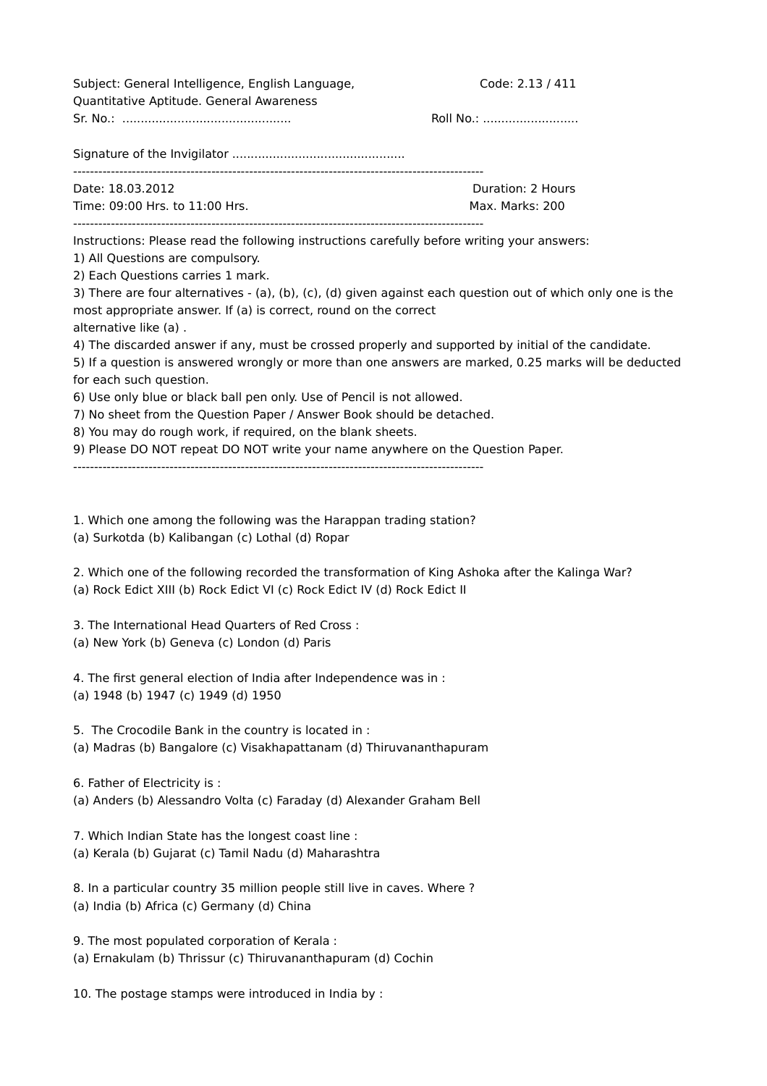| Subject: General Intelligence, English Language,                                                                                                                                                                                                                                                                                                                                                                                                                                                                                                                                                        | Code: 2.13 / 411  |                                                                                                                                               |  |
|---------------------------------------------------------------------------------------------------------------------------------------------------------------------------------------------------------------------------------------------------------------------------------------------------------------------------------------------------------------------------------------------------------------------------------------------------------------------------------------------------------------------------------------------------------------------------------------------------------|-------------------|-----------------------------------------------------------------------------------------------------------------------------------------------|--|
| Quantitative Aptitude. General Awareness                                                                                                                                                                                                                                                                                                                                                                                                                                                                                                                                                                | Roll No.:         |                                                                                                                                               |  |
|                                                                                                                                                                                                                                                                                                                                                                                                                                                                                                                                                                                                         |                   |                                                                                                                                               |  |
| Date: 18.03.2012                                                                                                                                                                                                                                                                                                                                                                                                                                                                                                                                                                                        | Duration: 2 Hours |                                                                                                                                               |  |
| Time: 09:00 Hrs. to 11:00 Hrs.                                                                                                                                                                                                                                                                                                                                                                                                                                                                                                                                                                          | Max. Marks: 200   |                                                                                                                                               |  |
| Instructions: Please read the following instructions carefully before writing your answers:<br>1) All Questions are compulsory.<br>2) Each Questions carries 1 mark.                                                                                                                                                                                                                                                                                                                                                                                                                                    |                   |                                                                                                                                               |  |
| 3) There are four alternatives - (a), (b), (c), (d) given against each question out of which only one is the<br>most appropriate answer. If (a) is correct, round on the correct<br>alternative like (a).<br>4) The discarded answer if any, must be crossed properly and supported by initial of the candidate.<br>5) If a question is answered wrongly or more than one answers are marked, 0.25 marks will be deducted<br>for each such question.<br>6) Use only blue or black ball pen only. Use of Pencil is not allowed.<br>7) No sheet from the Question Paper / Answer Book should be detached. |                   |                                                                                                                                               |  |
|                                                                                                                                                                                                                                                                                                                                                                                                                                                                                                                                                                                                         |                   | 8) You may do rough work, if required, on the blank sheets.<br>9) Please DO NOT repeat DO NOT write your name anywhere on the Question Paper. |  |
|                                                                                                                                                                                                                                                                                                                                                                                                                                                                                                                                                                                                         |                   |                                                                                                                                               |  |
|                                                                                                                                                                                                                                                                                                                                                                                                                                                                                                                                                                                                         |                   | 1. Which one among the following was the Harappan trading station?<br>(a) Surkotda (b) Kalibangan (c) Lothal (d) Ropar                        |  |
| 2. Which one of the following recorded the transformation of King Ashoka after the Kalinga War?<br>(a) Rock Edict XIII (b) Rock Edict VI (c) Rock Edict IV (d) Rock Edict II                                                                                                                                                                                                                                                                                                                                                                                                                            |                   |                                                                                                                                               |  |
| 3. The International Head Quarters of Red Cross:<br>(a) New York (b) Geneva (c) London (d) Paris                                                                                                                                                                                                                                                                                                                                                                                                                                                                                                        |                   |                                                                                                                                               |  |

4. The first general election of India after Independence was in : (a) 1948 (b) 1947 (c) 1949 (d) 1950

5. The Crocodile Bank in the country is located in : (a) Madras (b) Bangalore (c) Visakhapattanam (d) Thiruvananthapuram

6. Father of Electricity is :

(a) Anders (b) Alessandro Volta (c) Faraday (d) Alexander Graham Bell

7. Which Indian State has the longest coast line : (a) Kerala (b) Gujarat (c) Tamil Nadu (d) Maharashtra

8. In a particular country 35 million people still live in caves. Where ? (a) India (b) Africa (c) Germany (d) China

9. The most populated corporation of Kerala : (a) Ernakulam (b) Thrissur (c) Thiruvananthapuram (d) Cochin

10. The postage stamps were introduced in India by :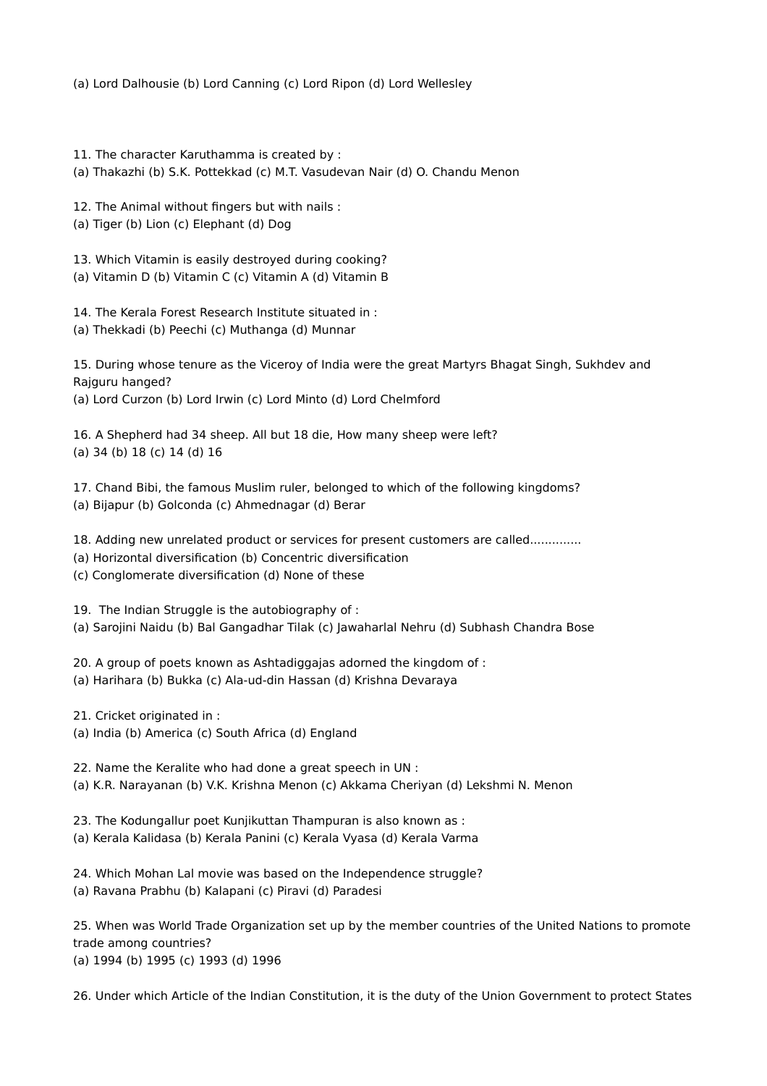(a) Lord Dalhousie (b) Lord Canning (c) Lord Ripon (d) Lord Wellesley

11. The character Karuthamma is created by :

(a) Thakazhi (b) S.K. Pottekkad (c) M.T. Vasudevan Nair (d) O. Chandu Menon

12. The Animal without fingers but with nails :

(a) Tiger (b) Lion (c) Elephant (d) Dog

13. Which Vitamin is easily destroyed during cooking? (a) Vitamin D (b) Vitamin C (c) Vitamin A (d) Vitamin B

14. The Kerala Forest Research Institute situated in :

(a) Thekkadi (b) Peechi (c) Muthanga (d) Munnar

15. During whose tenure as the Viceroy of India were the great Martyrs Bhagat Singh, Sukhdev and Rajguru hanged?

(a) Lord Curzon (b) Lord Irwin (c) Lord Minto (d) Lord Chelmford

16. A Shepherd had 34 sheep. All but 18 die, How many sheep were left? (a) 34 (b) 18 (c) 14 (d) 16

17. Chand Bibi, the famous Muslim ruler, belonged to which of the following kingdoms? (a) Bijapur (b) Golconda (c) Ahmednagar (d) Berar

18. Adding new unrelated product or services for present customers are called..............

(a) Horizontal diversification (b) Concentric diversification

(c) Conglomerate diversification (d) None of these

19. The Indian Struggle is the autobiography of :

(a) Sarojini Naidu (b) Bal Gangadhar Tilak (c) Jawaharlal Nehru (d) Subhash Chandra Bose

20. A group of poets known as Ashtadiggajas adorned the kingdom of :

(a) Harihara (b) Bukka (c) Ala-ud-din Hassan (d) Krishna Devaraya

21. Cricket originated in :

(a) India (b) America (c) South Africa (d) England

22. Name the Keralite who had done a great speech in UN :

(a) K.R. Narayanan (b) V.K. Krishna Menon (c) Akkama Cheriyan (d) Lekshmi N. Menon

23. The Kodungallur poet Kunjikuttan Thampuran is also known as :

(a) Kerala Kalidasa (b) Kerala Panini (c) Kerala Vyasa (d) Kerala Varma

24. Which Mohan Lal movie was based on the Independence struggle?

(a) Ravana Prabhu (b) Kalapani (c) Piravi (d) Paradesi

25. When was World Trade Organization set up by the member countries of the United Nations to promote trade among countries? (a) 1994 (b) 1995 (c) 1993 (d) 1996

26. Under which Article of the Indian Constitution, it is the duty of the Union Government to protect States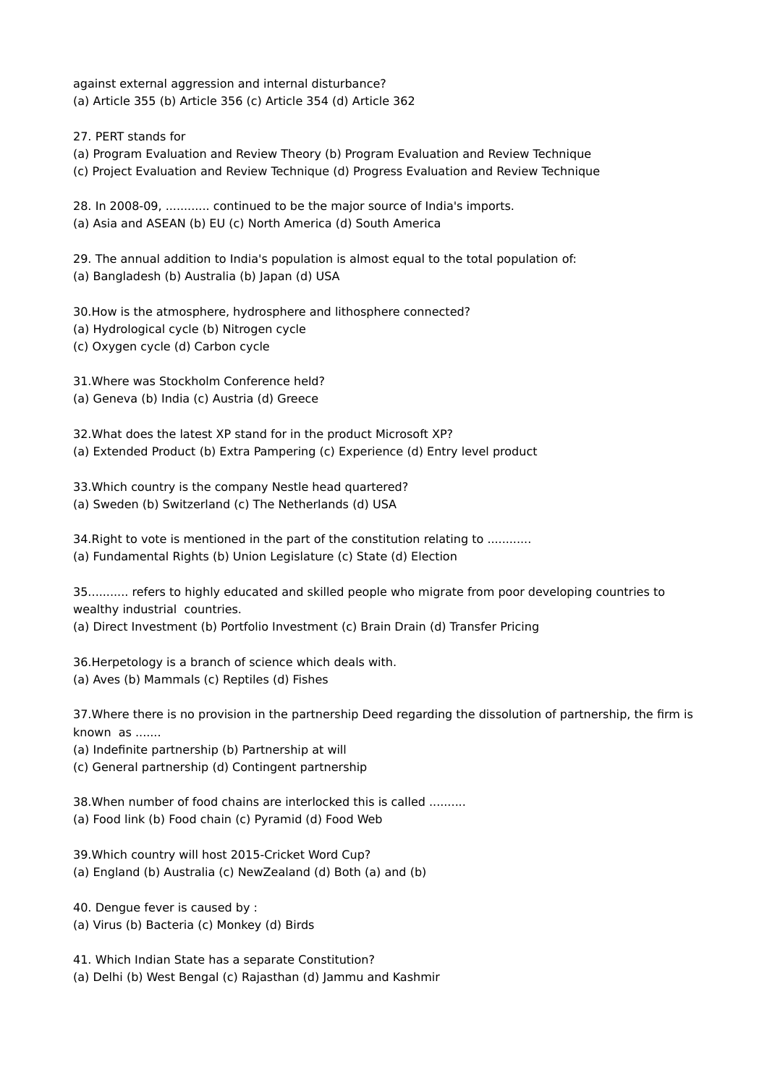against external aggression and internal disturbance? (a) Article 355 (b) Article 356 (c) Article 354 (d) Article 362

27. PERT stands for

(a) Program Evaluation and Review Theory (b) Program Evaluation and Review Technique

(c) Project Evaluation and Review Technique (d) Progress Evaluation and Review Technique

28. In 2008-09, ............ continued to be the major source of India's imports. (a) Asia and ASEAN (b) EU (c) North America (d) South America

29. The annual addition to India's population is almost equal to the total population of: (a) Bangladesh (b) Australia (b) Japan (d) USA

30.How is the atmosphere, hydrosphere and lithosphere connected?

- (a) Hydrological cycle (b) Nitrogen cycle
- (c) Oxygen cycle (d) Carbon cycle

31.Where was Stockholm Conference held?

(a) Geneva (b) India (c) Austria (d) Greece

32.What does the latest XP stand for in the product Microsoft XP? (a) Extended Product (b) Extra Pampering (c) Experience (d) Entry level product

33.Which country is the company Nestle head quartered?

(a) Sweden (b) Switzerland (c) The Netherlands (d) USA

34.Right to vote is mentioned in the part of the constitution relating to ............ (a) Fundamental Rights (b) Union Legislature (c) State (d) Election

35........... refers to highly educated and skilled people who migrate from poor developing countries to wealthy industrial countries.

(a) Direct Investment (b) Portfolio Investment (c) Brain Drain (d) Transfer Pricing

36.Herpetology is a branch of science which deals with.

(a) Aves (b) Mammals (c) Reptiles (d) Fishes

37.Where there is no provision in the partnership Deed regarding the dissolution of partnership, the firm is known as .......

(a) Indefinite partnership (b) Partnership at will

(c) General partnership (d) Contingent partnership

38.When number of food chains are interlocked this is called ..........

(a) Food link (b) Food chain (c) Pyramid (d) Food Web

39.Which country will host 2015-Cricket Word Cup?

(a) England (b) Australia (c) NewZealand (d) Both (a) and (b)

40. Dengue fever is caused by :

(a) Virus (b) Bacteria (c) Monkey (d) Birds

41. Which Indian State has a separate Constitution?

(a) Delhi (b) West Bengal (c) Rajasthan (d) Jammu and Kashmir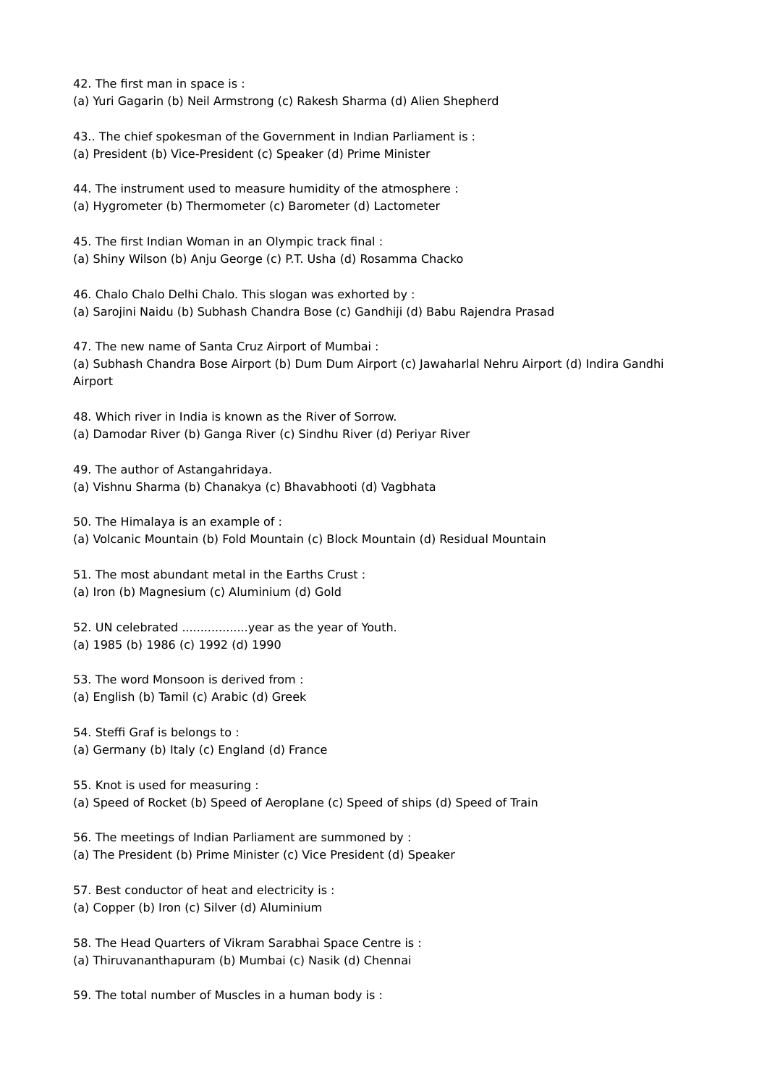42. The first man in space is :

(a) Yuri Gagarin (b) Neil Armstrong (c) Rakesh Sharma (d) Alien Shepherd

43.. The chief spokesman of the Government in Indian Parliament is : (a) President (b) Vice-President (c) Speaker (d) Prime Minister

44. The instrument used to measure humidity of the atmosphere : (a) Hygrometer (b) Thermometer (c) Barometer (d) Lactometer

45. The first Indian Woman in an Olympic track final :

(a) Shiny Wilson (b) Anju George (c) P.T. Usha (d) Rosamma Chacko

46. Chalo Chalo Delhi Chalo. This slogan was exhorted by : (a) Sarojini Naidu (b) Subhash Chandra Bose (c) Gandhiji (d) Babu Rajendra Prasad

47. The new name of Santa Cruz Airport of Mumbai : (a) Subhash Chandra Bose Airport (b) Dum Dum Airport (c) Jawaharlal Nehru Airport (d) Indira Gandhi Airport

48. Which river in India is known as the River of Sorrow. (a) Damodar River (b) Ganga River (c) Sindhu River (d) Periyar River

49. The author of Astangahridaya. (a) Vishnu Sharma (b) Chanakya (c) Bhavabhooti (d) Vagbhata

50. The Himalaya is an example of :

(a) Volcanic Mountain (b) Fold Mountain (c) Block Mountain (d) Residual Mountain

51. The most abundant metal in the Earths Crust :

(a) Iron (b) Magnesium (c) Aluminium (d) Gold

52. UN celebrated ..................year as the year of Youth. (a) 1985 (b) 1986 (c) 1992 (d) 1990

53. The word Monsoon is derived from :

(a) English (b) Tamil (c) Arabic (d) Greek

54. Steffi Graf is belongs to :

(a) Germany (b) Italy (c) England (d) France

55. Knot is used for measuring :

(a) Speed of Rocket (b) Speed of Aeroplane (c) Speed of ships (d) Speed of Train

56. The meetings of Indian Parliament are summoned by :

(a) The President (b) Prime Minister (c) Vice President (d) Speaker

57. Best conductor of heat and electricity is :

(a) Copper (b) Iron (c) Silver (d) Aluminium

58. The Head Quarters of Vikram Sarabhai Space Centre is :

(a) Thiruvananthapuram (b) Mumbai (c) Nasik (d) Chennai

59. The total number of Muscles in a human body is :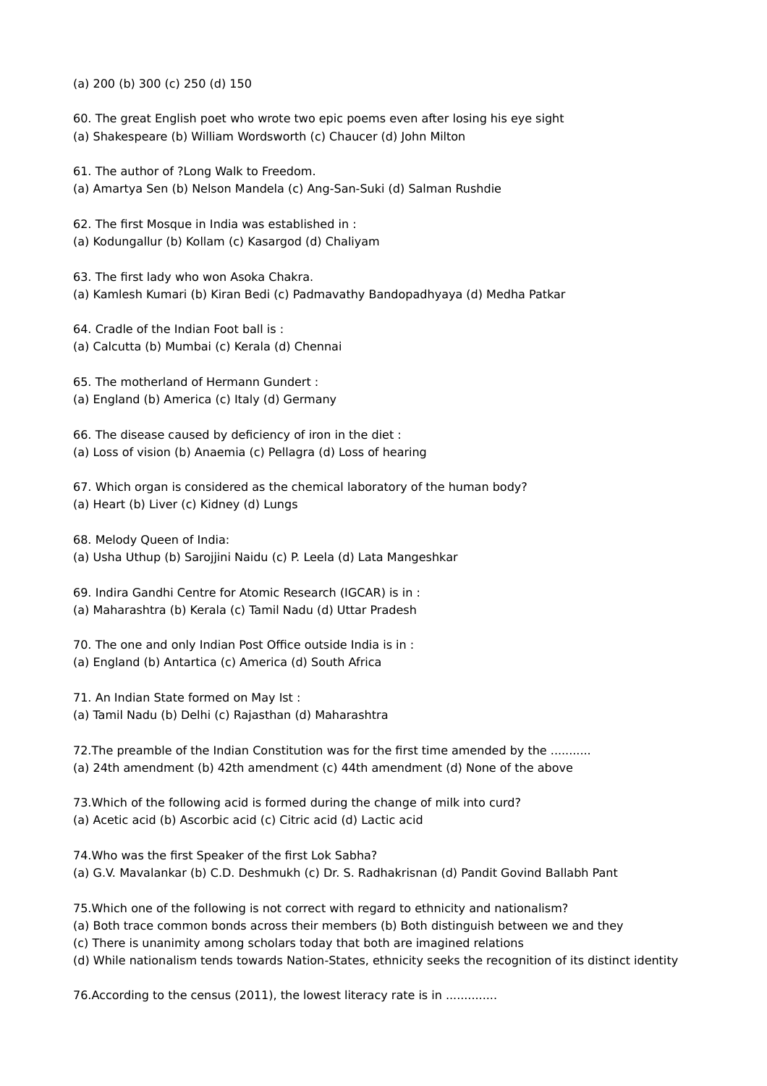(a) 200 (b) 300 (c) 250 (d) 150

60. The great English poet who wrote two epic poems even after losing his eye sight

(a) Shakespeare (b) William Wordsworth (c) Chaucer (d) John Milton

61. The author of ?Long Walk to Freedom.

(a) Amartya Sen (b) Nelson Mandela (c) Ang-San-Suki (d) Salman Rushdie

62. The first Mosque in India was established in :

(a) Kodungallur (b) Kollam (c) Kasargod (d) Chaliyam

63. The first lady who won Asoka Chakra.

(a) Kamlesh Kumari (b) Kiran Bedi (c) Padmavathy Bandopadhyaya (d) Medha Patkar

64. Cradle of the Indian Foot ball is : (a) Calcutta (b) Mumbai (c) Kerala (d) Chennai

65. The motherland of Hermann Gundert :

(a) England (b) America (c) Italy (d) Germany

66. The disease caused by deficiency of iron in the diet : (a) Loss of vision (b) Anaemia (c) Pellagra (d) Loss of hearing

67. Which organ is considered as the chemical laboratory of the human body? (a) Heart (b) Liver (c) Kidney (d) Lungs

68. Melody Queen of India:

(a) Usha Uthup (b) Sarojjini Naidu (c) P. Leela (d) Lata Mangeshkar

69. Indira Gandhi Centre for Atomic Research (IGCAR) is in :

(a) Maharashtra (b) Kerala (c) Tamil Nadu (d) Uttar Pradesh

70. The one and only Indian Post Office outside India is in : (a) England (b) Antartica (c) America (d) South Africa

71. An Indian State formed on May Ist :

(a) Tamil Nadu (b) Delhi (c) Rajasthan (d) Maharashtra

72.The preamble of the Indian Constitution was for the first time amended by the ........... (a) 24th amendment (b) 42th amendment (c) 44th amendment (d) None of the above

73.Which of the following acid is formed during the change of milk into curd? (a) Acetic acid (b) Ascorbic acid (c) Citric acid (d) Lactic acid

74.Who was the first Speaker of the first Lok Sabha? (a) G.V. Mavalankar (b) C.D. Deshmukh (c) Dr. S. Radhakrisnan (d) Pandit Govind Ballabh Pant

75.Which one of the following is not correct with regard to ethnicity and nationalism?

- (a) Both trace common bonds across their members (b) Both distinguish between we and they
- (c) There is unanimity among scholars today that both are imagined relations
- (d) While nationalism tends towards Nation-States, ethnicity seeks the recognition of its distinct identity

76. According to the census (2011), the lowest literacy rate is in .............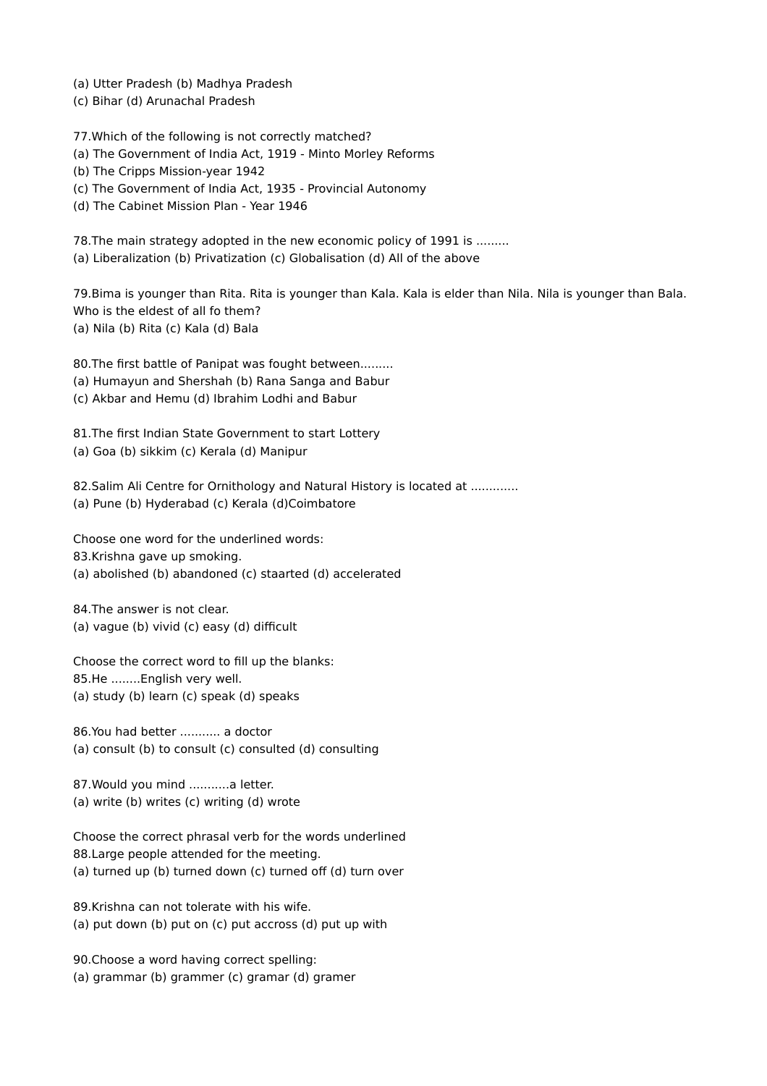(a) Utter Pradesh (b) Madhya Pradesh

(c) Bihar (d) Arunachal Pradesh

77.Which of the following is not correctly matched? (a) The Government of India Act, 1919 - Minto Morley Reforms (b) The Cripps Mission-year 1942 (c) The Government of India Act, 1935 - Provincial Autonomy (d) The Cabinet Mission Plan - Year 1946

78.The main strategy adopted in the new economic policy of 1991 is ......... (a) Liberalization (b) Privatization (c) Globalisation (d) All of the above

79.Bima is younger than Rita. Rita is younger than Kala. Kala is elder than Nila. Nila is younger than Bala. Who is the eldest of all fo them? (a) Nila (b) Rita (c) Kala (d) Bala

80.The first battle of Panipat was fought between.........

(a) Humayun and Shershah (b) Rana Sanga and Babur

(c) Akbar and Hemu (d) Ibrahim Lodhi and Babur

81.The first Indian State Government to start Lottery (a) Goa (b) sikkim (c) Kerala (d) Manipur

82. Salim Ali Centre for Ornithology and Natural History is located at ............ (a) Pune (b) Hyderabad (c) Kerala (d)Coimbatore

Choose one word for the underlined words: 83.Krishna gave up smoking. (a) abolished (b) abandoned (c) staarted (d) accelerated

84.The answer is not clear. (a) vague (b) vivid (c) easy (d) difficult

Choose the correct word to fill up the blanks: 85.He ........English very well. (a) study (b) learn (c) speak (d) speaks

86.You had better ........... a doctor (a) consult (b) to consult (c) consulted (d) consulting

87.Would you mind ...........a letter. (a) write (b) writes (c) writing (d) wrote

Choose the correct phrasal verb for the words underlined 88.Large people attended for the meeting. (a) turned up (b) turned down (c) turned off (d) turn over

89.Krishna can not tolerate with his wife. (a) put down (b) put on (c) put accross (d) put up with

90.Choose a word having correct spelling: (a) grammar (b) grammer (c) gramar (d) gramer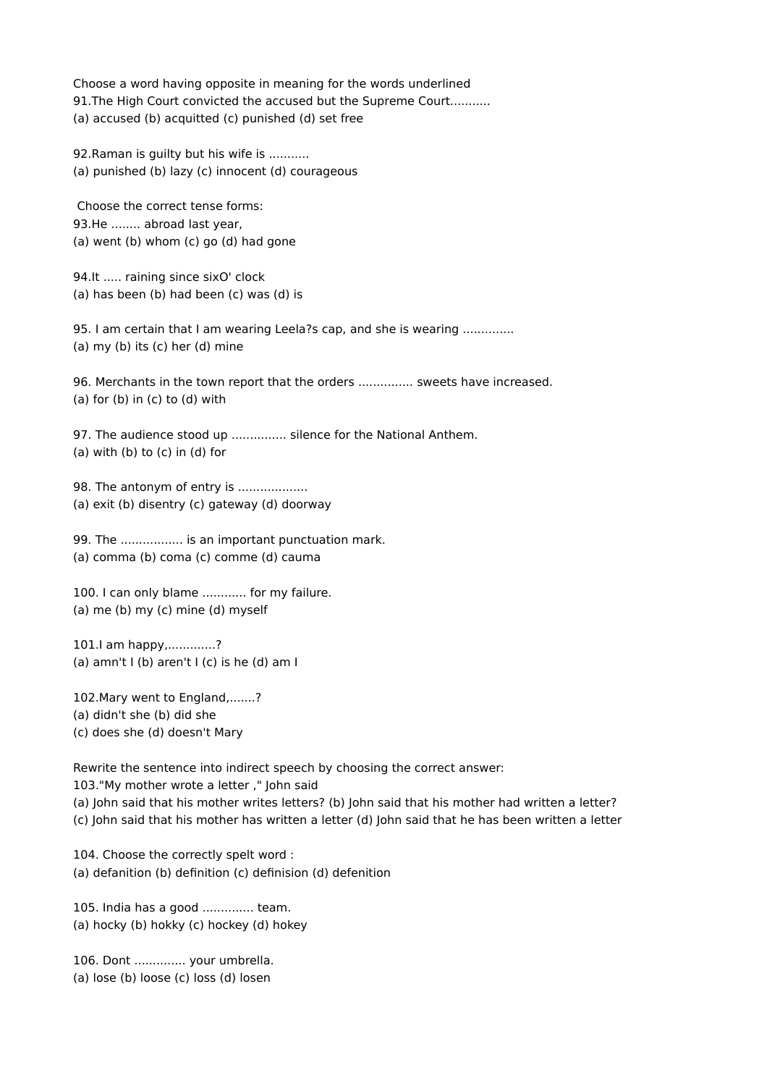Choose a word having opposite in meaning for the words underlined 91. The High Court convicted the accused but the Supreme Court........... (a) accused (b) acquitted (c) punished (d) set free

92.Raman is guilty but his wife is ........... (a) punished (b) lazy (c) innocent (d) courageous

Choose the correct tense forms: 93.He ........ abroad last year, (a) went (b) whom (c) go (d) had gone

94.It ..... raining since sixO' clock (a) has been (b) had been (c) was (d) is

95. I am certain that I am wearing Leela?s cap, and she is wearing ............. (a) my (b) its (c) her (d) mine

96. Merchants in the town report that the orders ............... sweets have increased.  $(a)$  for  $(b)$  in  $(c)$  to  $(d)$  with

97. The audience stood up ............... silence for the National Anthem.  $(a)$  with  $(b)$  to  $(c)$  in  $(d)$  for

98. The antonym of entry is ................... (a) exit (b) disentry (c) gateway (d) doorway

99. The ................. is an important punctuation mark. (a) comma (b) coma (c) comme (d) cauma

100. I can only blame ............ for my failure. (a) me (b) my (c) mine (d) myself

101.I am happy,.............? (a) amn't  $I$  (b) aren't  $I$  (c) is he (d) am  $I$ 

102.Mary went to England,.......? (a) didn't she (b) did she (c) does she (d) doesn't Mary

Rewrite the sentence into indirect speech by choosing the correct answer: 103."My mother wrote a letter ," John said (a) John said that his mother writes letters? (b) John said that his mother had written a letter? (c) John said that his mother has written a letter (d) John said that he has been written a letter

104. Choose the correctly spelt word : (a) defanition (b) definition (c) definision (d) defenition

105. India has a good .............. team. (a) hocky (b) hokky (c) hockey (d) hokey

106. Dont .............. your umbrella. (a) lose (b) loose (c) loss (d) losen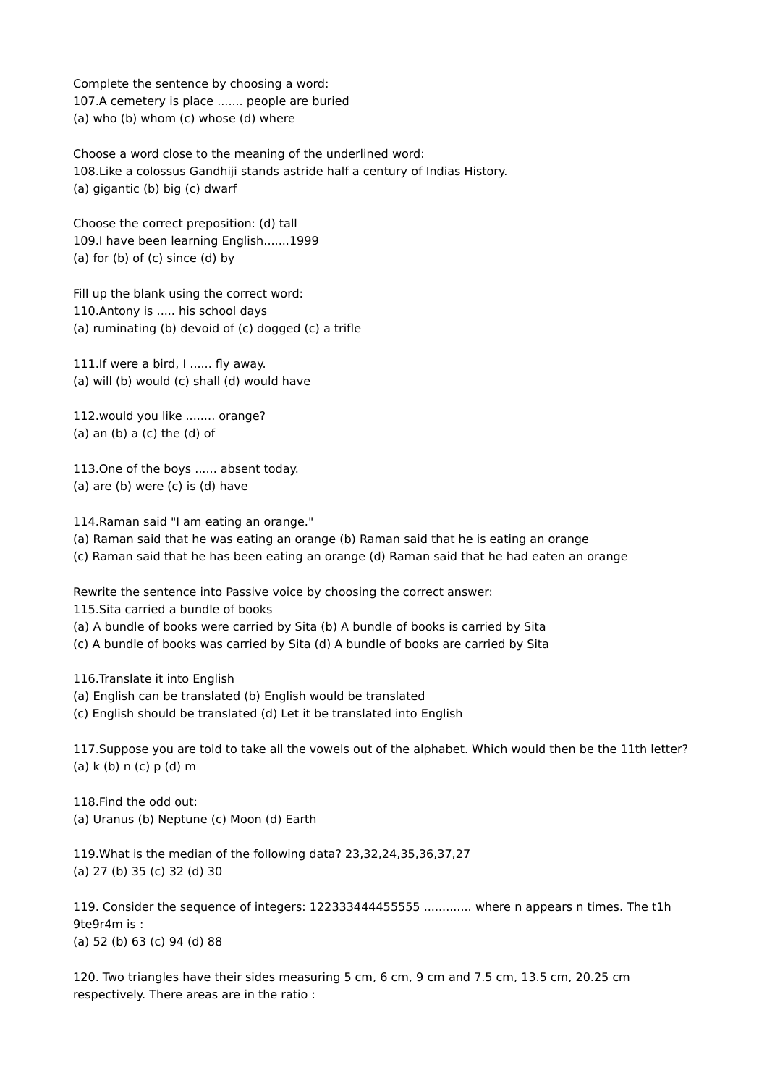Complete the sentence by choosing a word: 107.A cemetery is place ....... people are buried (a) who (b) whom (c) whose (d) where

Choose a word close to the meaning of the underlined word: 108.Like a colossus Gandhiji stands astride half a century of Indias History. (a) gigantic (b) big (c) dwarf

Choose the correct preposition: (d) tall 109.I have been learning English.......1999 (a) for  $(b)$  of  $(c)$  since  $(d)$  by

Fill up the blank using the correct word: 110.Antony is ..... his school days (a) ruminating (b) devoid of (c) dogged (c) a trifle

111.If were a bird, I ...... fly away. (a) will (b) would (c) shall (d) would have

112.would you like ........ orange?  $(a)$  an  $(b)$  a  $(c)$  the  $(d)$  of

113.One of the boys ...... absent today. (a) are (b) were  $(c)$  is  $(d)$  have

114.Raman said "I am eating an orange."

(a) Raman said that he was eating an orange (b) Raman said that he is eating an orange

(c) Raman said that he has been eating an orange (d) Raman said that he had eaten an orange

Rewrite the sentence into Passive voice by choosing the correct answer:

115.Sita carried a bundle of books

(a) A bundle of books were carried by Sita (b) A bundle of books is carried by Sita

(c) A bundle of books was carried by Sita (d) A bundle of books are carried by Sita

116.Translate it into English

(a) English can be translated (b) English would be translated

(c) English should be translated (d) Let it be translated into English

117.Suppose you are told to take all the vowels out of the alphabet. Which would then be the 11th letter?  $(a)$  k (b) n (c) p (d) m

118.Find the odd out: (a) Uranus (b) Neptune (c) Moon (d) Earth

119.What is the median of the following data? 23,32,24,35,36,37,27 (a) 27 (b) 35 (c) 32 (d) 30

119. Consider the sequence of integers: 122333444455555 ............. where n appears n times. The t1h 9te9r4m is : (a) 52 (b) 63 (c) 94 (d) 88

120. Two triangles have their sides measuring 5 cm, 6 cm, 9 cm and 7.5 cm, 13.5 cm, 20.25 cm respectively. There areas are in the ratio :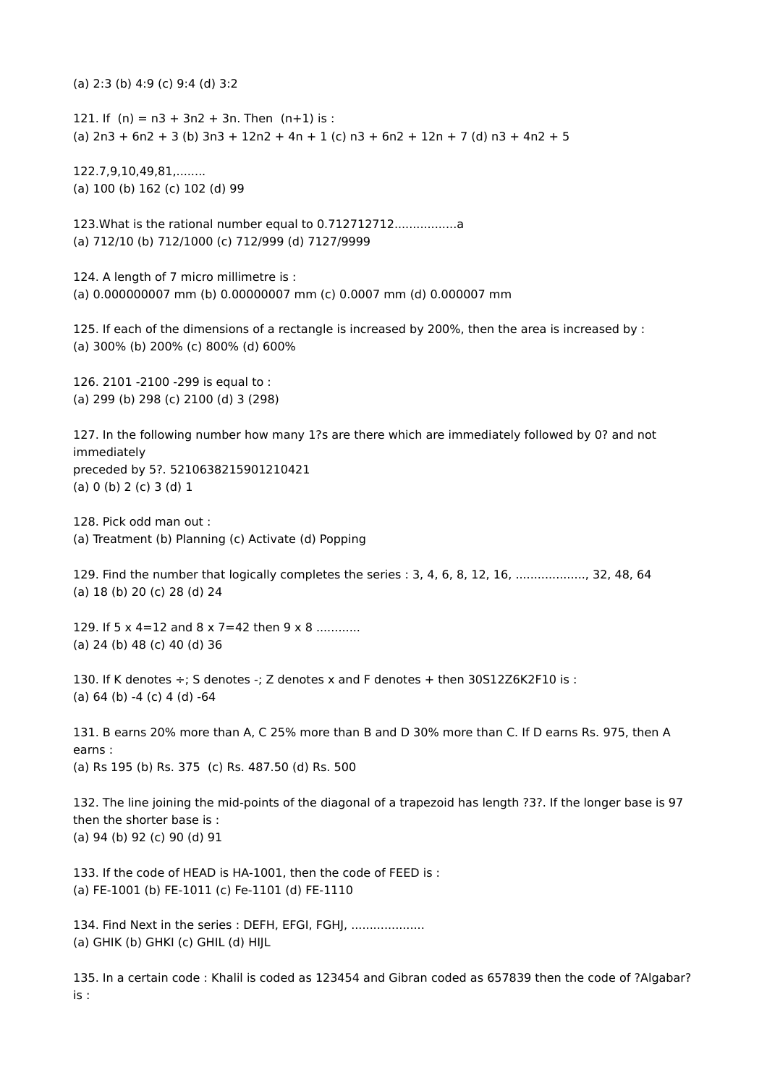(a) 2:3 (b) 4:9 (c) 9:4 (d) 3:2

121. If  $(n) = n3 + 3n2 + 3n$ . Then  $(n+1)$  is : (a)  $2n3 + 6n2 + 3$  (b)  $3n3 + 12n2 + 4n + 1$  (c)  $n3 + 6n2 + 12n + 7$  (d)  $n3 + 4n2 + 5$ 

122.7,9,10,49,81,........ (a) 100 (b) 162 (c) 102 (d) 99

123. What is the rational number equal to 0.712712712...................... (a) 712/10 (b) 712/1000 (c) 712/999 (d) 7127/9999

124. A length of 7 micro millimetre is: (a) 0.000000007 mm (b) 0.00000007 mm (c) 0.0007 mm (d) 0.000007 mm

125. If each of the dimensions of a rectangle is increased by 200%, then the area is increased by : (a) 300% (b) 200% (c) 800% (d) 600%

126. 2101 -2100 -299 is equal to : (a) 299 (b) 298 (c) 2100 (d) 3 (298)

127. In the following number how many 1?s are there which are immediately followed by 0? and not immediately preceded by 5?. 5210638215901210421 (a) 0 (b) 2 (c) 3 (d) 1

128. Pick odd man out : (a) Treatment (b) Planning (c) Activate (d) Popping

129. Find the number that logically completes the series : 3, 4, 6, 8, 12, 16, ..................., 32, 48, 64 (a) 18 (b) 20 (c) 28 (d) 24

129. If 5 x 4=12 and 8 x 7=42 then 9 x 8 ........... (a) 24 (b) 48 (c) 40 (d) 36

130. If K denotes ÷; S denotes -; Z denotes x and F denotes + then 30S12Z6K2F10 is : (a)  $64$  (b)  $-4$  (c)  $4$  (d)  $-64$ 

131. B earns 20% more than A, C 25% more than B and D 30% more than C. If D earns Rs. 975, then A earns : (a) Rs 195 (b) Rs. 375 (c) Rs. 487.50 (d) Rs. 500

132. The line joining the mid-points of the diagonal of a trapezoid has length ?3?. If the longer base is 97 then the shorter base is : (a) 94 (b) 92 (c) 90 (d) 91

133. If the code of HEAD is HA-1001, then the code of FEED is : (a) FE-1001 (b) FE-1011 (c) Fe-1101 (d) FE-1110

134. Find Next in the series : DEFH, EFGI, FGHJ, ................... (a) GHIK (b) GHKI (c) GHIL (d) HIJL

135. In a certain code : Khalil is coded as 123454 and Gibran coded as 657839 then the code of ?Algabar? is :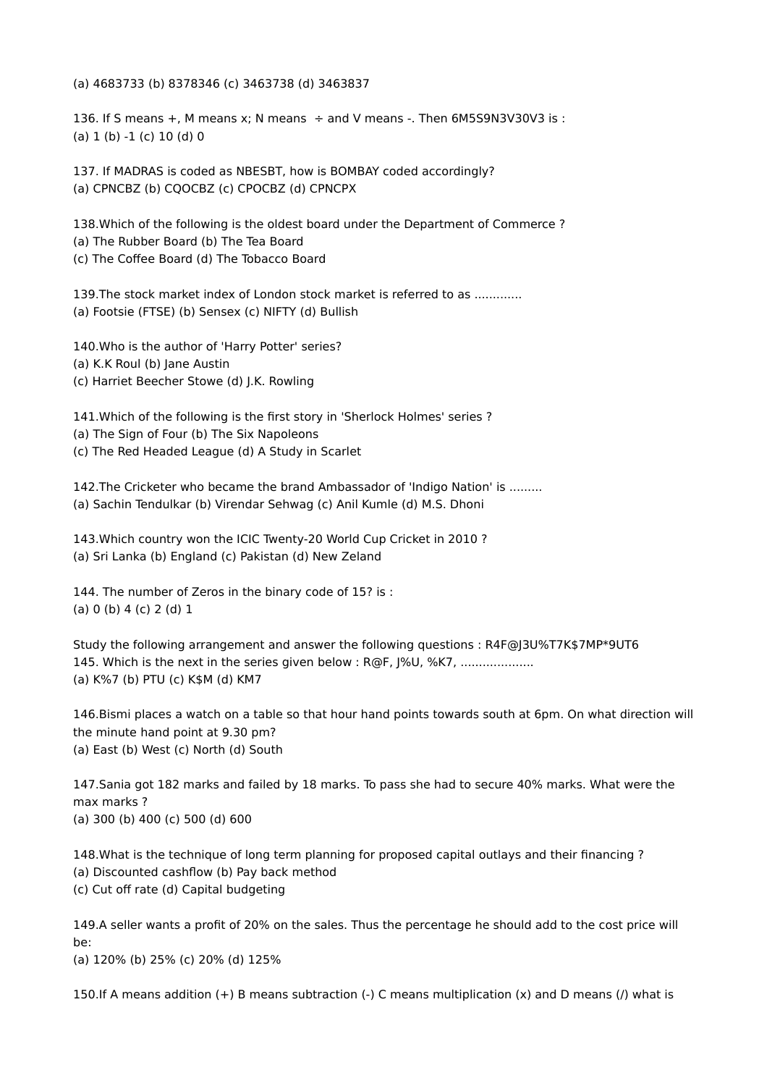(a) 4683733 (b) 8378346 (c) 3463738 (d) 3463837

136. If S means +, M means x; N means  $\div$  and V means -. Then 6M5S9N3V30V3 is : (a)  $1$  (b)  $-1$  (c)  $10$  (d)  $0$ 

137. If MADRAS is coded as NBESBT, how is BOMBAY coded accordingly? (a) CPNCBZ (b) CQOCBZ (c) CPOCBZ (d) CPNCPX

138.Which of the following is the oldest board under the Department of Commerce ? (a) The Rubber Board (b) The Tea Board (c) The Coffee Board (d) The Tobacco Board

139. The stock market index of London stock market is referred to as ............ (a) Footsie (FTSE) (b) Sensex (c) NIFTY (d) Bullish

140.Who is the author of 'Harry Potter' series?

(a) K.K Roul (b) Jane Austin

(c) Harriet Beecher Stowe (d) J.K. Rowling

141.Which of the following is the first story in 'Sherlock Holmes' series ?

(a) The Sign of Four (b) The Six Napoleons

(c) The Red Headed League (d) A Study in Scarlet

142.The Cricketer who became the brand Ambassador of 'Indigo Nation' is ......... (a) Sachin Tendulkar (b) Virendar Sehwag (c) Anil Kumle (d) M.S. Dhoni

143.Which country won the ICIC Twenty-20 World Cup Cricket in 2010 ? (a) Sri Lanka (b) England (c) Pakistan (d) New Zeland

144. The number of Zeros in the binary code of 15? is : (a) 0 (b) 4 (c) 2 (d) 1

Study the following arrangement and answer the following questions : R4F@J3U%T7K\$7MP\*9UT6 145. Which is the next in the series given below : R@F, I%U, %K7, .................... (a) K%7 (b) PTU (c) K\$M (d) KM7

146.Bismi places a watch on a table so that hour hand points towards south at 6pm. On what direction will the minute hand point at 9.30 pm? (a) East (b) West (c) North (d) South

147.Sania got 182 marks and failed by 18 marks. To pass she had to secure 40% marks. What were the max marks ? (a) 300 (b) 400 (c) 500 (d) 600

148.What is the technique of long term planning for proposed capital outlays and their financing ? (a) Discounted cashflow (b) Pay back method (c) Cut off rate (d) Capital budgeting

149.A seller wants a profit of 20% on the sales. Thus the percentage he should add to the cost price will be:

(a) 120% (b) 25% (c) 20% (d) 125%

150.If A means addition (+) B means subtraction (-) C means multiplication (x) and D means (/) what is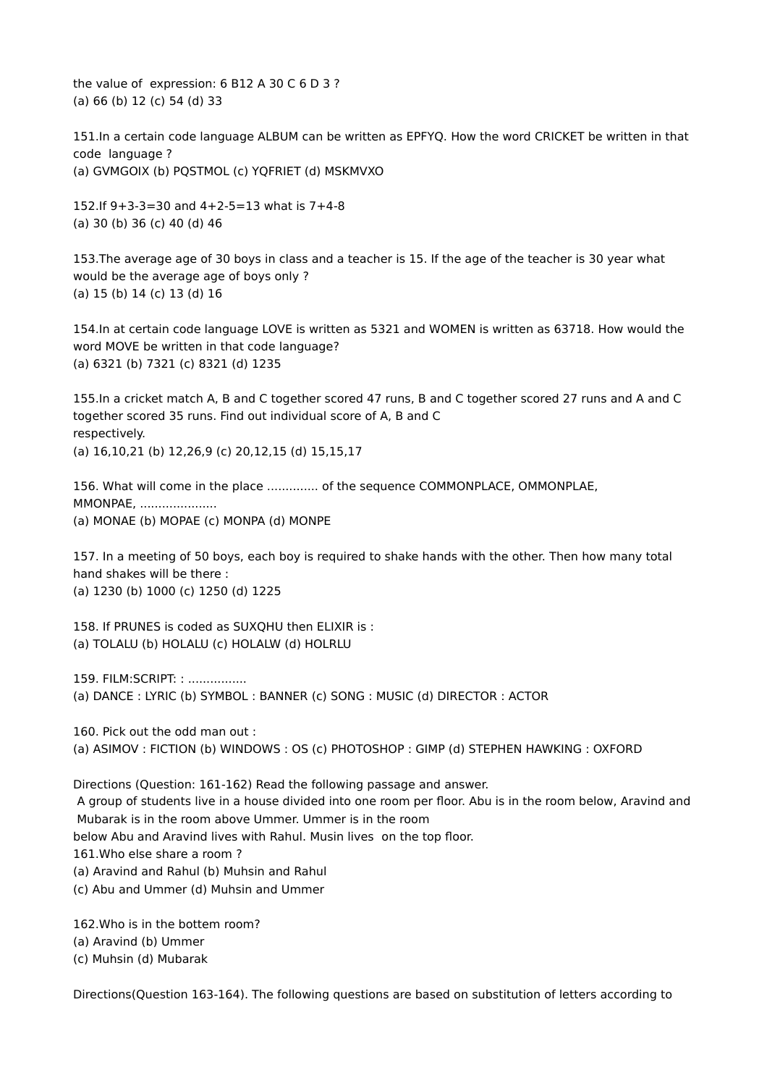the value of expression: 6 B12 A 30 C 6 D 3 ? (a) 66 (b) 12 (c) 54 (d) 33

151.In a certain code language ALBUM can be written as EPFYQ. How the word CRICKET be written in that code language ? (a) GVMGOIX (b) PQSTMOL (c) YQFRIET (d) MSKMVXO

152.If 9+3-3=30 and 4+2-5=13 what is 7+4-8 (a) 30 (b) 36 (c) 40 (d) 46

153.The average age of 30 boys in class and a teacher is 15. If the age of the teacher is 30 year what would be the average age of boys only ? (a) 15 (b) 14 (c) 13 (d) 16

154.In at certain code language LOVE is written as 5321 and WOMEN is written as 63718. How would the word MOVE be written in that code language? (a) 6321 (b) 7321 (c) 8321 (d) 1235

155.In a cricket match A, B and C together scored 47 runs, B and C together scored 27 runs and A and C together scored 35 runs. Find out individual score of A, B and C respectively. (a) 16,10,21 (b) 12,26,9 (c) 20,12,15 (d) 15,15,17

156. What will come in the place .............. of the sequence COMMONPLACE, OMMONPLAE, MMONPAE, ..................... (a) MONAE (b) MOPAE (c) MONPA (d) MONPE

157. In a meeting of 50 boys, each boy is required to shake hands with the other. Then how many total hand shakes will be there : (a) 1230 (b) 1000 (c) 1250 (d) 1225

158. If PRUNES is coded as SUXQHU then ELIXIR is : (a) TOLALU (b) HOLALU (c) HOLALW (d) HOLRLU

159. FILM:SCRIPT:::............... (a) DANCE : LYRIC (b) SYMBOL : BANNER (c) SONG : MUSIC (d) DIRECTOR : ACTOR

160. Pick out the odd man out : (a) ASIMOV : FICTION (b) WINDOWS : OS (c) PHOTOSHOP : GIMP (d) STEPHEN HAWKING : OXFORD

Directions (Question: 161-162) Read the following passage and answer. A group of students live in a house divided into one room per floor. Abu is in the room below, Aravind and Mubarak is in the room above Ummer. Ummer is in the room below Abu and Aravind lives with Rahul. Musin lives on the top floor. 161.Who else share a room ? (a) Aravind and Rahul (b) Muhsin and Rahul (c) Abu and Ummer (d) Muhsin and Ummer

162.Who is in the bottem room? (a) Aravind (b) Ummer (c) Muhsin (d) Mubarak

Directions(Question 163-164). The following questions are based on substitution of letters according to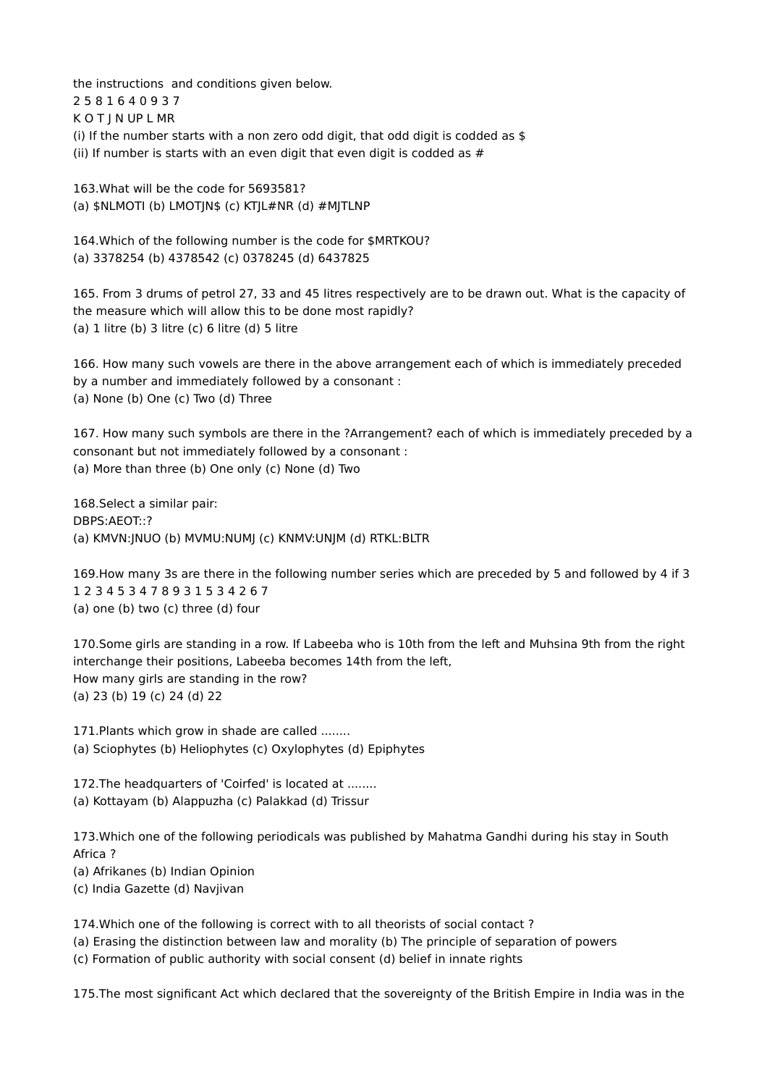the instructions and conditions given below. 2 5 8 1 6 4 0 9 3 7 K O T J N UP L MR (i) If the number starts with a non zero odd digit, that odd digit is codded as  $$$ (ii) If number is starts with an even digit that even digit is codded as  $#$ 

163.What will be the code for 5693581? (a)  $$NLMOTI$  (b)  $LMOTIN$$  (c)  $KTIL#NR$  (d)  $#MITLNP$ 

164.Which of the following number is the code for \$MRTKOU? (a) 3378254 (b) 4378542 (c) 0378245 (d) 6437825

165. From 3 drums of petrol 27, 33 and 45 litres respectively are to be drawn out. What is the capacity of the measure which will allow this to be done most rapidly? (a) 1 litre (b) 3 litre (c) 6 litre (d) 5 litre

166. How many such vowels are there in the above arrangement each of which is immediately preceded by a number and immediately followed by a consonant : (a) None (b) One (c) Two (d) Three

167. How many such symbols are there in the ?Arrangement? each of which is immediately preceded by a consonant but not immediately followed by a consonant : (a) More than three (b) One only (c) None (d) Two

168.Select a similar pair: DBPS:AEOT::? (a) KMVN:JNUO (b) MVMU:NUMJ (c) KNMV:UNJM (d) RTKL:BLTR

169.How many 3s are there in the following number series which are preceded by 5 and followed by 4 if 3 1 2 3 4 5 3 4 7 8 9 3 1 5 3 4 2 6 7 (a) one (b) two (c) three (d) four

170.Some girls are standing in a row. If Labeeba who is 10th from the left and Muhsina 9th from the right interchange their positions, Labeeba becomes 14th from the left, How many girls are standing in the row? (a) 23 (b) 19 (c) 24 (d) 22

171.Plants which grow in shade are called ........ (a) Sciophytes (b) Heliophytes (c) Oxylophytes (d) Epiphytes

172.The headquarters of 'Coirfed' is located at ........ (a) Kottayam (b) Alappuzha (c) Palakkad (d) Trissur

173.Which one of the following periodicals was published by Mahatma Gandhi during his stay in South Africa ?

(a) Afrikanes (b) Indian Opinion

(c) India Gazette (d) Navjivan

174.Which one of the following is correct with to all theorists of social contact ?

(a) Erasing the distinction between law and morality (b) The principle of separation of powers

(c) Formation of public authority with social consent (d) belief in innate rights

175.The most significant Act which declared that the sovereignty of the British Empire in India was in the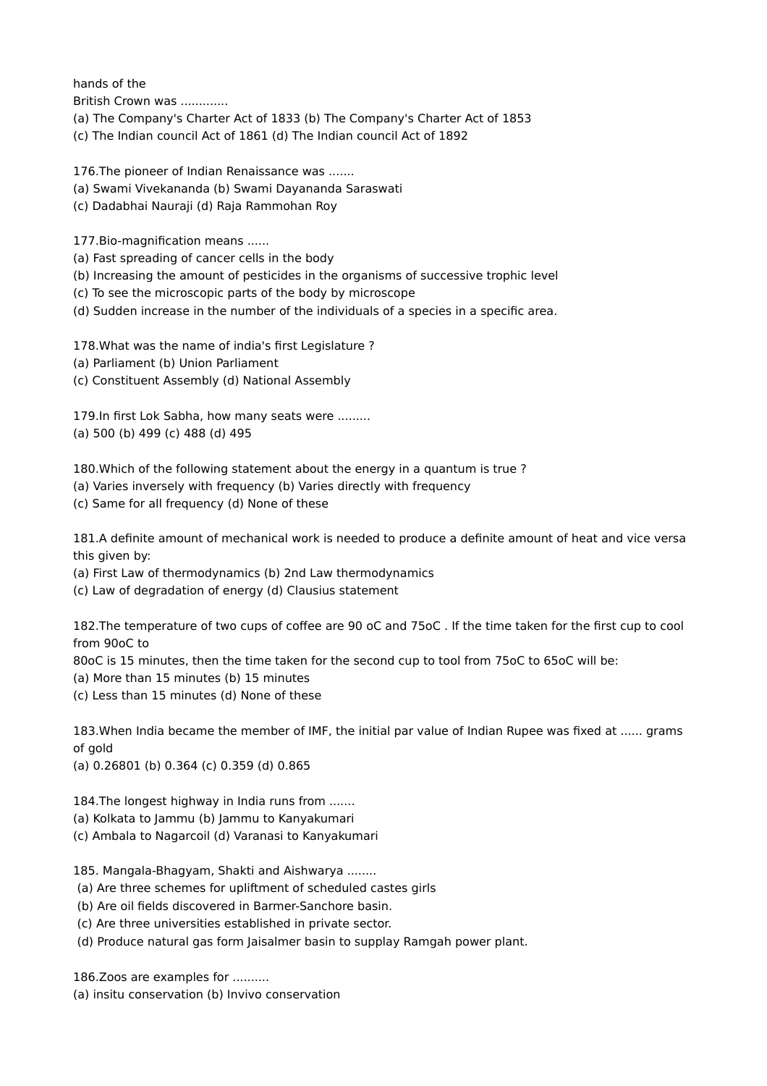hands of the

British Crown was .............

- (a) The Company's Charter Act of 1833 (b) The Company's Charter Act of 1853
- (c) The Indian council Act of 1861 (d) The Indian council Act of 1892

176.The pioneer of Indian Renaissance was .......

- (a) Swami Vivekananda (b) Swami Dayananda Saraswati
- (c) Dadabhai Nauraji (d) Raja Rammohan Roy

177.Bio-magnification means ......

- (a) Fast spreading of cancer cells in the body
- (b) Increasing the amount of pesticides in the organisms of successive trophic level
- (c) To see the microscopic parts of the body by microscope
- (d) Sudden increase in the number of the individuals of a species in a specific area.

178.What was the name of india's first Legislature ?

- (a) Parliament (b) Union Parliament
- (c) Constituent Assembly (d) National Assembly

179.In first Lok Sabha, how many seats were ......... (a) 500 (b) 499 (c) 488 (d) 495

180.Which of the following statement about the energy in a quantum is true ?

- (a) Varies inversely with frequency (b) Varies directly with frequency
- (c) Same for all frequency (d) None of these

181.A definite amount of mechanical work is needed to produce a definite amount of heat and vice versa this given by:

- (a) First Law of thermodynamics (b) 2nd Law thermodynamics
- (c) Law of degradation of energy (d) Clausius statement

182.The temperature of two cups of coffee are 90 oC and 75oC . If the time taken for the first cup to cool from 90oC to

80oC is 15 minutes, then the time taken for the second cup to tool from 75oC to 65oC will be:

- (a) More than 15 minutes (b) 15 minutes
- (c) Less than 15 minutes (d) None of these

183.When India became the member of IMF, the initial par value of Indian Rupee was fixed at ...... grams of gold

(a) 0.26801 (b) 0.364 (c) 0.359 (d) 0.865

184.The longest highway in India runs from .......

- (a) Kolkata to Jammu (b) Jammu to Kanyakumari
- (c) Ambala to Nagarcoil (d) Varanasi to Kanyakumari

185. Mangala-Bhagyam, Shakti and Aishwarya ........

- (a) Are three schemes for upliftment of scheduled castes girls
- (b) Are oil fields discovered in Barmer-Sanchore basin.
- (c) Are three universities established in private sector.
- (d) Produce natural gas form Jaisalmer basin to supplay Ramgah power plant.

186.Zoos are examples for ..........

(a) insitu conservation (b) Invivo conservation